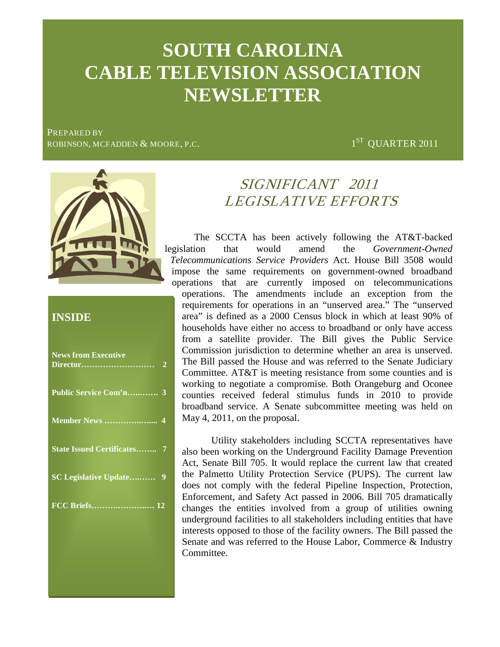# 1st Quarter 2011 page 1 **SOUTH CAROLINA SOUTH CAROLINA CABLE TELEVISION ASSOCIATION NEWSLETTER**

PREPARED BY ROBINSON, MCFADDEN & MOORE, P.C.  $1^{\text{ST}}$  QUARTER 2011



## **INSIDE**

| <b>News from Executive</b>         | $\overline{2}$ |
|------------------------------------|----------------|
| Public Service Com'n 3             |                |
|                                    |                |
| <b>State Issued Certificates 7</b> |                |
| <b>SC Legislative Update</b> 9     |                |
|                                    |                |
|                                    |                |

# SIGNIFICANT 2011 LEGISLATIVE EFFORTS

 The SCCTA has been actively following the AT&T-backed legislation that would amend the *Government-Owned Telecommunications Service Providers* Act. House Bill 3508 would impose the same requirements on government-owned broadband operations that are currently imposed on telecommunications operations. The amendments include an exception from the requirements for operations in an "unserved area." The "unserved area" is defined as a 2000 Census block in which at least 90% of households have either no access to broadband or only have access from a satellite provider. The Bill gives the Public Service Commission jurisdiction to determine whether an area is unserved. The Bill passed the House and was referred to the Senate Judiciary Committee. AT&T is meeting resistance from some counties and is working to negotiate a compromise. Both Orangeburg and Oconee counties received federal stimulus funds in 2010 to provide broadband service. A Senate subcommittee meeting was held on May 4, 2011, on the proposal.

Utility stakeholders including SCCTA representatives have also been working on the Underground Facility Damage Prevention Act, Senate Bill 705. It would replace the current law that created the Palmetto Utility Protection Service (PUPS). The current law does not comply with the federal Pipeline Inspection, Protection, Enforcement, and Safety Act passed in 2006. Bill 705 dramatically changes the entities involved from a group of utilities owning underground facilities to all stakeholders including entities that have interests opposed to those of the facility owners. The Bill passed the Senate and was referred to the House Labor, Commerce & Industry Committee.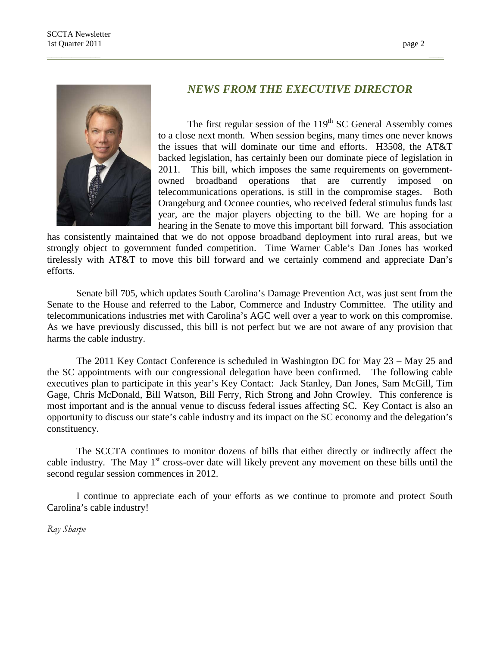

#### *NEWS FROM THE EXECUTIVE DIRECTOR*

The first regular session of the  $119<sup>th</sup>$  SC General Assembly comes to a close next month. When session begins, many times one never knows the issues that will dominate our time and efforts. H3508, the AT&T backed legislation, has certainly been our dominate piece of legislation in 2011. This bill, which imposes the same requirements on governmentowned broadband operations that are currently imposed on telecommunications operations, is still in the compromise stages. Both Orangeburg and Oconee counties, who received federal stimulus funds last year, are the major players objecting to the bill. We are hoping for a hearing in the Senate to move this important bill forward. This association

has consistently maintained that we do not oppose broadband deployment into rural areas, but we strongly object to government funded competition. Time Warner Cable's Dan Jones has worked tirelessly with AT&T to move this bill forward and we certainly commend and appreciate Dan's efforts.

Senate bill 705, which updates South Carolina's Damage Prevention Act, was just sent from the Senate to the House and referred to the Labor, Commerce and Industry Committee. The utility and telecommunications industries met with Carolina's AGC well over a year to work on this compromise. As we have previously discussed, this bill is not perfect but we are not aware of any provision that harms the cable industry.

The 2011 Key Contact Conference is scheduled in Washington DC for May 23 – May 25 and the SC appointments with our congressional delegation have been confirmed. The following cable executives plan to participate in this year's Key Contact: Jack Stanley, Dan Jones, Sam McGill, Tim Gage, Chris McDonald, Bill Watson, Bill Ferry, Rich Strong and John Crowley. This conference is most important and is the annual venue to discuss federal issues affecting SC. Key Contact is also an opportunity to discuss our state's cable industry and its impact on the SC economy and the delegation's constituency.

The SCCTA continues to monitor dozens of bills that either directly or indirectly affect the cable industry. The May  $1<sup>st</sup>$  cross-over date will likely prevent any movement on these bills until the second regular session commences in 2012.

I continue to appreciate each of your efforts as we continue to promote and protect South Carolina's cable industry!

*Ray Sharpe*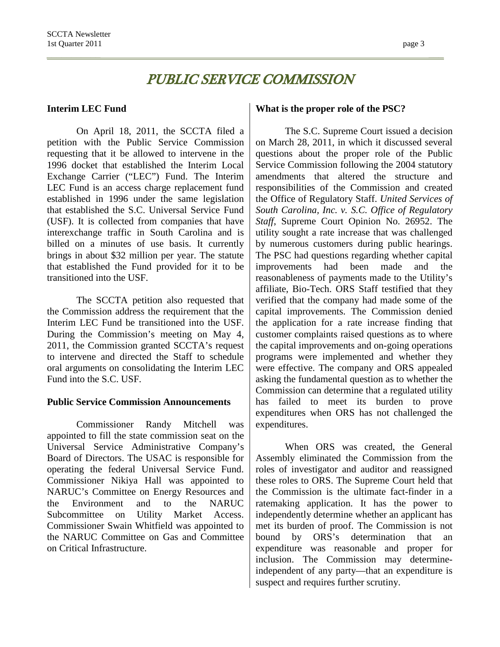## PUBLIC SERVICE COMMISSION

#### **Interim LEC Fund**

On April 18, 2011, the SCCTA filed a petition with the Public Service Commission requesting that it be allowed to intervene in the 1996 docket that established the Interim Local Exchange Carrier ("LEC") Fund. The Interim LEC Fund is an access charge replacement fund established in 1996 under the same legislation that established the S.C. Universal Service Fund (USF). It is collected from companies that have interexchange traffic in South Carolina and is billed on a minutes of use basis. It currently brings in about \$32 million per year. The statute that established the Fund provided for it to be transitioned into the USF.

The SCCTA petition also requested that the Commission address the requirement that the Interim LEC Fund be transitioned into the USF. During the Commission's meeting on May 4, 2011, the Commission granted SCCTA's request to intervene and directed the Staff to schedule oral arguments on consolidating the Interim LEC Fund into the S.C. USF.

#### **Public Service Commission Announcements**

Commissioner Randy Mitchell was appointed to fill the state commission seat on the Universal Service Administrative Company's Board of Directors. The USAC is responsible for operating the federal Universal Service Fund. Commissioner Nikiya Hall was appointed to NARUC's Committee on Energy Resources and the Environment and to the NARUC Subcommittee on Utility Market Access. Commissioner Swain Whitfield was appointed to the NARUC Committee on Gas and Committee on Critical Infrastructure.

#### **What is the proper role of the PSC?**

The S.C. Supreme Court issued a decision on March 28, 2011, in which it discussed several questions about the proper role of the Public Service Commission following the 2004 statutory amendments that altered the structure and responsibilities of the Commission and created the Office of Regulatory Staff. *United Services of South Carolina, Inc. v. S.C. Office of Regulatory Staff*, Supreme Court Opinion No. 26952. The utility sought a rate increase that was challenged by numerous customers during public hearings. The PSC had questions regarding whether capital improvements had been made and the reasonableness of payments made to the Utility's affiliate, Bio-Tech. ORS Staff testified that they verified that the company had made some of the capital improvements. The Commission denied the application for a rate increase finding that customer complaints raised questions as to where the capital improvements and on-going operations programs were implemented and whether they were effective. The company and ORS appealed asking the fundamental question as to whether the Commission can determine that a regulated utility has failed to meet its burden to prove expenditures when ORS has not challenged the expenditures.

When ORS was created, the General Assembly eliminated the Commission from the roles of investigator and auditor and reassigned these roles to ORS. The Supreme Court held that the Commission is the ultimate fact-finder in a ratemaking application. It has the power to independently determine whether an applicant has met its burden of proof. The Commission is not bound by ORS's determination that an expenditure was reasonable and proper for inclusion. The Commission may determineindependent of any party—that an expenditure is suspect and requires further scrutiny.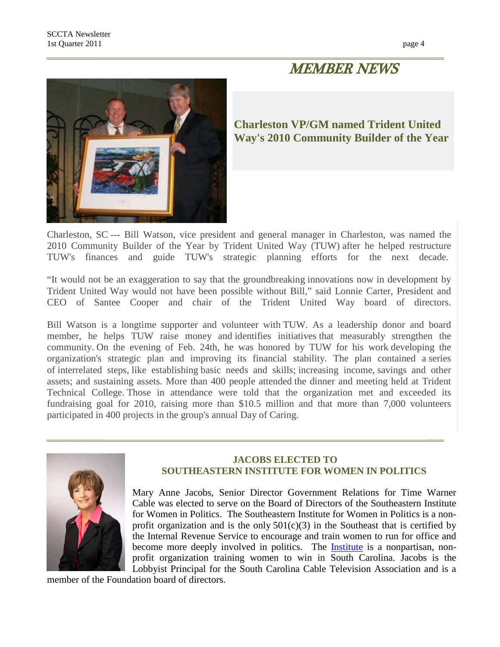## MEMBER NEWS



## **Charleston VP/GM named Trident United Way's 2010 Community Builder of the Year**

Charleston, SC --- Bill Watson, vice president and general manager in Charleston, was named the 2010 Community Builder of the Year by Trident United Way (TUW) after he helped restructure TUW's finances and guide TUW's strategic planning efforts for the next decade.

"It would not be an exaggeration to say that the groundbreaking innovations now in development by Trident United Way would not have been possible without Bill," said Lonnie Carter, President and CEO of Santee Cooper and chair of the Trident United Way board of directors.

Bill Watson is a longtime supporter and volunteer with TUW. As a leadership donor and board member, he helps TUW raise money and identifies initiatives that measurably strengthen the community. On the evening of Feb. 24th, he was honored by TUW for his work developing the organization's strategic plan and improving its financial stability. The plan contained a series of interrelated steps, like establishing basic needs and skills; increasing income, savings and other assets; and sustaining assets. More than 400 people attended the dinner and meeting held at Trident Technical College. Those in attendance were told that the organization met and exceeded its fundraising goal for 2010, raising more than \$10.5 million and that more than 7,000 volunteers participated in 400 projects in the group's annual Day of Caring.



#### **JACOBS ELECTED TO SOUTHEASTERN INSTITUTE FOR WOMEN IN POLITICS**

Mary Anne Jacobs, Senior Director Government Relations for Time Warner Cable was elected to serve on the Board of Directors of the Southeastern Institute for Women in Politics. The Southeastern Institute for Women in Politics is a nonprofit organization and is the only  $501(c)(3)$  in the Southeast that is certified by the Internal Revenue Service to encourage and train women to run for office and become more deeply involved in politics. The **Institute** is a nonpartisan, nonprofit organization training women to win in South Carolina. Jacobs is the Lobbyist Principal for the South Carolina Cable Television Association and is a

member of the Foundation board of directors.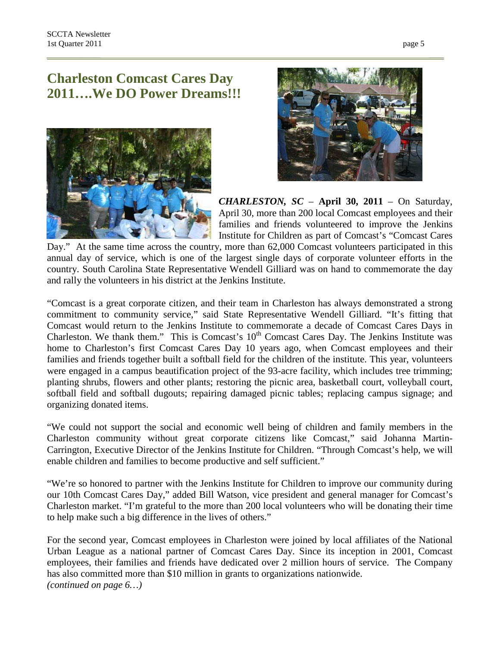## **Charleston Comcast Cares Day 2011….We DO Power Dreams!!!**





*CHARLESTON, SC* – **April 30, 2011** – On Saturday, April 30, more than 200 local Comcast employees and their families and friends volunteered to improve the Jenkins Institute for Children as part of Comcast's "Comcast Cares

Day." At the same time across the country, more than 62,000 Comcast volunteers participated in this annual day of service, which is one of the largest single days of corporate volunteer efforts in the country. South Carolina State Representative Wendell Gilliard was on hand to commemorate the day and rally the volunteers in his district at the Jenkins Institute.

"Comcast is a great corporate citizen, and their team in Charleston has always demonstrated a strong commitment to community service," said State Representative Wendell Gilliard. "It's fitting that Comcast would return to the Jenkins Institute to commemorate a decade of Comcast Cares Days in Charleston. We thank them." This is Comcast's  $10<sup>th</sup>$  Comcast Cares Day. The Jenkins Institute was home to Charleston's first Comcast Cares Day 10 years ago, when Comcast employees and their families and friends together built a softball field for the children of the institute. This year, volunteers were engaged in a campus beautification project of the 93-acre facility, which includes tree trimming; planting shrubs, flowers and other plants; restoring the picnic area, basketball court, volleyball court, softball field and softball dugouts; repairing damaged picnic tables; replacing campus signage; and organizing donated items.

"We could not support the social and economic well being of children and family members in the Charleston community without great corporate citizens like Comcast," said Johanna Martin-Carrington, Executive Director of the Jenkins Institute for Children. "Through Comcast's help, we will enable children and families to become productive and self sufficient."

"We're so honored to partner with the Jenkins Institute for Children to improve our community during our 10th Comcast Cares Day," added Bill Watson, vice president and general manager for Comcast's Charleston market. "I'm grateful to the more than 200 local volunteers who will be donating their time to help make such a big difference in the lives of others."

For the second year, Comcast employees in Charleston were joined by local affiliates of the National Urban League as a national partner of Comcast Cares Day. Since its inception in 2001, Comcast employees, their families and friends have dedicated over 2 million hours of service. The Company has also committed more than \$10 million in grants to organizations nationwide. *(continued on page 6…)*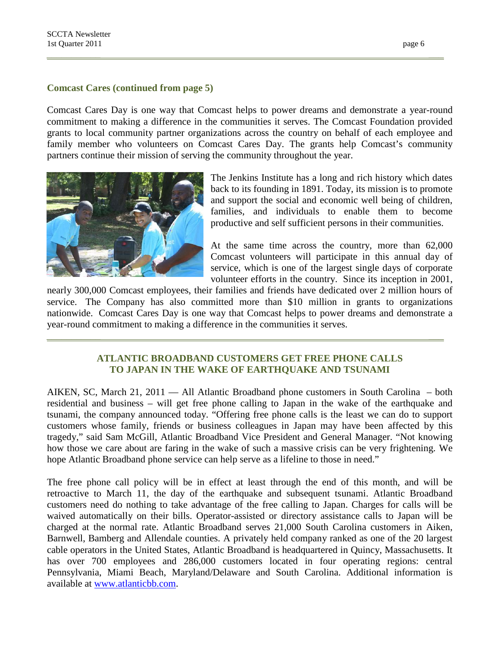#### **Comcast Cares (continued from page 5)**

Comcast Cares Day is one way that Comcast helps to power dreams and demonstrate a year-round commitment to making a difference in the communities it serves. The Comcast Foundation provided grants to local community partner organizations across the country on behalf of each employee and family member who volunteers on Comcast Cares Day. The grants help Comcast's community partners continue their mission of serving the community throughout the year.



The Jenkins Institute has a long and rich history which dates back to its founding in 1891. Today, its mission is to promote and support the social and economic well being of children, families, and individuals to enable them to become productive and self sufficient persons in their communities.

At the same time across the country, more than 62,000 Comcast volunteers will participate in this annual day of service, which is one of the largest single days of corporate volunteer efforts in the country. Since its inception in 2001,

nearly 300,000 Comcast employees, their families and friends have dedicated over 2 million hours of service. The Company has also committed more than \$10 million in grants to organizations nationwide. Comcast Cares Day is one way that Comcast helps to power dreams and demonstrate a year-round commitment to making a difference in the communities it serves.

#### **ATLANTIC BROADBAND CUSTOMERS GET FREE PHONE CALLS TO JAPAN IN THE WAKE OF EARTHQUAKE AND TSUNAMI**

AIKEN, SC, March 21, 2011 — All Atlantic Broadband phone customers in South Carolina – both residential and business – will get free phone calling to Japan in the wake of the earthquake and tsunami, the company announced today. "Offering free phone calls is the least we can do to support customers whose family, friends or business colleagues in Japan may have been affected by this tragedy," said Sam McGill, Atlantic Broadband Vice President and General Manager. "Not knowing how those we care about are faring in the wake of such a massive crisis can be very frightening. We hope Atlantic Broadband phone service can help serve as a lifeline to those in need."

The free phone call policy will be in effect at least through the end of this month, and will be retroactive to March 11, the day of the earthquake and subsequent tsunami. Atlantic Broadband customers need do nothing to take advantage of the free calling to Japan. Charges for calls will be waived automatically on their bills. Operator-assisted or directory assistance calls to Japan will be charged at the normal rate. Atlantic Broadband serves 21,000 South Carolina customers in Aiken, Barnwell, Bamberg and Allendale counties. A privately held company ranked as one of the 20 largest cable operators in the United States, Atlantic Broadband is headquartered in Quincy, Massachusetts. It has over 700 employees and 286,000 customers located in four operating regions: central Pennsylvania, Miami Beach, Maryland/Delaware and South Carolina. Additional information is available at [www.atlanticbb.com.](http://www.atlanticbb.com/)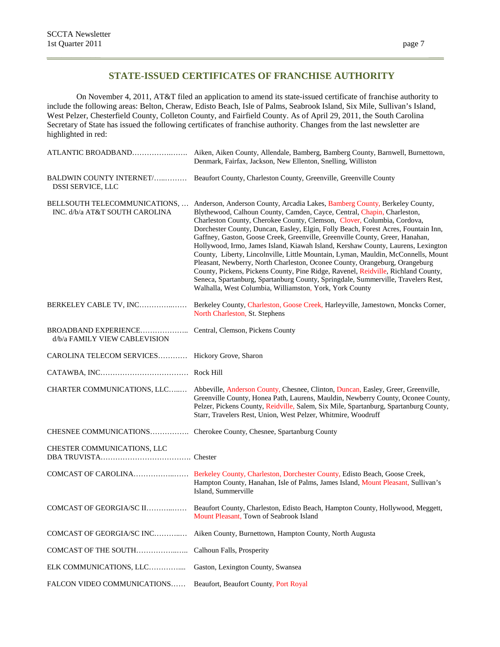#### **STATE-ISSUED CERTIFICATES OF FRANCHISE AUTHORITY**

On November 4, 2011, AT&T filed an application to amend its state-issued certificate of franchise authority to include the following areas: Belton, Cheraw, Edisto Beach, Isle of Palms, Seabrook Island, Six Mile, Sullivan's Island, West Pelzer, Chesterfield County, Colleton County, and Fairfield County. As of April 29, 2011, the South Carolina Secretary of State has issued the following certificates of franchise authority. Changes from the last newsletter are highlighted in red:

|                                                                 | Denmark, Fairfax, Jackson, New Ellenton, Snelling, Williston                                                                                                                                                                                                                                                                                                                                                                                                                                                                                                                                                                                                                                                                                                                                                                                                                                        |
|-----------------------------------------------------------------|-----------------------------------------------------------------------------------------------------------------------------------------------------------------------------------------------------------------------------------------------------------------------------------------------------------------------------------------------------------------------------------------------------------------------------------------------------------------------------------------------------------------------------------------------------------------------------------------------------------------------------------------------------------------------------------------------------------------------------------------------------------------------------------------------------------------------------------------------------------------------------------------------------|
| BALDWIN COUNTY INTERNET/<br>DSSI SERVICE, LLC                   | Beaufort County, Charleston County, Greenville, Greenville County                                                                                                                                                                                                                                                                                                                                                                                                                                                                                                                                                                                                                                                                                                                                                                                                                                   |
| BELLSOUTH TELECOMMUNICATIONS,<br>INC. d/b/a AT&T SOUTH CAROLINA | Anderson, Anderson County, Arcadia Lakes, Bamberg County, Berkeley County,<br>Blythewood, Calhoun County, Camden, Cayce, Central, Chapin, Charleston,<br>Charleston County, Cherokee County, Clemson, Clover, Columbia, Cordova,<br>Dorchester County, Duncan, Easley, Elgin, Folly Beach, Forest Acres, Fountain Inn,<br>Gaffney, Gaston, Goose Creek, Greenville, Greenville County, Greer, Hanahan,<br>Hollywood, Irmo, James Island, Kiawah Island, Kershaw County, Laurens, Lexington<br>County, Liberty, Lincolnville, Little Mountain, Lyman, Mauldin, McConnells, Mount<br>Pleasant, Newberry, North Charleston, Oconee County, Orangeburg, Orangeburg<br>County, Pickens, Pickens County, Pine Ridge, Ravenel, Reidville, Richland County,<br>Seneca, Spartanburg, Spartanburg County, Springdale, Summerville, Travelers Rest,<br>Walhalla, West Columbia, Williamston, York, York County |
| BERKELEY CABLE TV, INC                                          | Berkeley County, Charleston, Goose Creek, Harleyville, Jamestown, Moncks Corner,<br>North Charleston, St. Stephens                                                                                                                                                                                                                                                                                                                                                                                                                                                                                                                                                                                                                                                                                                                                                                                  |
| d/b/a FAMILY VIEW CABLEVISION                                   |                                                                                                                                                                                                                                                                                                                                                                                                                                                                                                                                                                                                                                                                                                                                                                                                                                                                                                     |
| CAROLINA TELECOM SERVICES Hickory Grove, Sharon                 |                                                                                                                                                                                                                                                                                                                                                                                                                                                                                                                                                                                                                                                                                                                                                                                                                                                                                                     |
|                                                                 |                                                                                                                                                                                                                                                                                                                                                                                                                                                                                                                                                                                                                                                                                                                                                                                                                                                                                                     |
|                                                                 | CHARTER COMMUNICATIONS, LLC Abbeville, Anderson County, Chesnee, Clinton, Duncan, Easley, Greer, Greenville,<br>Greenville County, Honea Path, Laurens, Mauldin, Newberry County, Oconee County,<br>Pelzer, Pickens County, Reidville, Salem, Six Mile, Spartanburg, Spartanburg County,<br>Starr, Travelers Rest, Union, West Pelzer, Whitmire, Woodruff                                                                                                                                                                                                                                                                                                                                                                                                                                                                                                                                           |
|                                                                 | CHESNEE COMMUNICATIONS Cherokee County, Chesnee, Spartanburg County                                                                                                                                                                                                                                                                                                                                                                                                                                                                                                                                                                                                                                                                                                                                                                                                                                 |
| CHESTER COMMUNICATIONS, LLC                                     |                                                                                                                                                                                                                                                                                                                                                                                                                                                                                                                                                                                                                                                                                                                                                                                                                                                                                                     |
|                                                                 | Hampton County, Hanahan, Isle of Palms, James Island, Mount Pleasant, Sullivan's<br>Island, Summerville                                                                                                                                                                                                                                                                                                                                                                                                                                                                                                                                                                                                                                                                                                                                                                                             |
|                                                                 | COMCAST OF GEORGIA/SC II Beaufort County, Charleston, Edisto Beach, Hampton County, Hollywood, Meggett,<br>Mount Pleasant, Town of Seabrook Island                                                                                                                                                                                                                                                                                                                                                                                                                                                                                                                                                                                                                                                                                                                                                  |
| COMCAST OF GEORGIA/SC INC                                       | Aiken County, Burnettown, Hampton County, North Augusta                                                                                                                                                                                                                                                                                                                                                                                                                                                                                                                                                                                                                                                                                                                                                                                                                                             |
| COMCAST OF THE SOUTH                                            | Calhoun Falls, Prosperity                                                                                                                                                                                                                                                                                                                                                                                                                                                                                                                                                                                                                                                                                                                                                                                                                                                                           |
| ELK COMMUNICATIONS, LLC                                         | Gaston, Lexington County, Swansea                                                                                                                                                                                                                                                                                                                                                                                                                                                                                                                                                                                                                                                                                                                                                                                                                                                                   |
| FALCON VIDEO COMMUNICATIONS                                     | Beaufort, Beaufort County, Port Royal                                                                                                                                                                                                                                                                                                                                                                                                                                                                                                                                                                                                                                                                                                                                                                                                                                                               |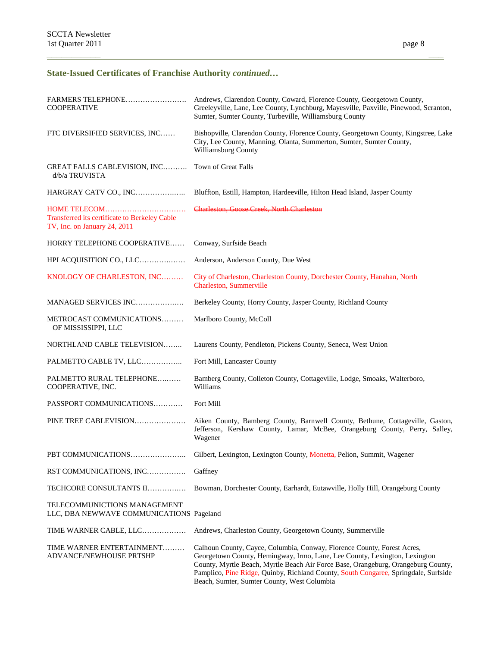## **State-Issued Certificates of Franchise Authority** *continued…*

| FARMERS TELEPHONE<br><b>COOPERATIVE</b>                                       | Andrews, Clarendon County, Coward, Florence County, Georgetown County,<br>Greeleyville, Lane, Lee County, Lynchburg, Mayesville, Paxville, Pinewood, Scranton,<br>Sumter, Sumter County, Turbeville, Williamsburg County                                                                                                                                                         |
|-------------------------------------------------------------------------------|----------------------------------------------------------------------------------------------------------------------------------------------------------------------------------------------------------------------------------------------------------------------------------------------------------------------------------------------------------------------------------|
| FTC DIVERSIFIED SERVICES, INC                                                 | Bishopville, Clarendon County, Florence County, Georgetown County, Kingstree, Lake<br>City, Lee County, Manning, Olanta, Summerton, Sumter, Sumter County,<br>Williamsburg County                                                                                                                                                                                                |
| GREAT FALLS CABLEVISION, INC<br>d/b/a TRUVISTA                                | Town of Great Falls                                                                                                                                                                                                                                                                                                                                                              |
| HARGRAY CATV CO., INC                                                         | Bluffton, Estill, Hampton, Hardeeville, Hilton Head Island, Jasper County                                                                                                                                                                                                                                                                                                        |
| Transferred its certificate to Berkeley Cable<br>TV, Inc. on January 24, 2011 | Charleston, Goose Creek, North Charleston                                                                                                                                                                                                                                                                                                                                        |
| HORRY TELEPHONE COOPERATIVE                                                   | Conway, Surfside Beach                                                                                                                                                                                                                                                                                                                                                           |
| HPI ACQUISITION CO., LLC                                                      | Anderson, Anderson County, Due West                                                                                                                                                                                                                                                                                                                                              |
| KNOLOGY OF CHARLESTON, INC                                                    | City of Charleston, Charleston County, Dorchester County, Hanahan, North<br>Charleston, Summerville                                                                                                                                                                                                                                                                              |
| MANAGED SERVICES INC                                                          | Berkeley County, Horry County, Jasper County, Richland County                                                                                                                                                                                                                                                                                                                    |
| METROCAST COMMUNICATIONS<br>OF MISSISSIPPI, LLC                               | Marlboro County, McColl                                                                                                                                                                                                                                                                                                                                                          |
| NORTHLAND CABLE TELEVISION                                                    | Laurens County, Pendleton, Pickens County, Seneca, West Union                                                                                                                                                                                                                                                                                                                    |
| PALMETTO CABLE TV, LLC                                                        | Fort Mill, Lancaster County                                                                                                                                                                                                                                                                                                                                                      |
| PALMETTO RURAL TELEPHONE<br>COOPERATIVE, INC.                                 | Bamberg County, Colleton County, Cottageville, Lodge, Smoaks, Walterboro,<br>Williams                                                                                                                                                                                                                                                                                            |
| PASSPORT COMMUNICATIONS                                                       | Fort Mill                                                                                                                                                                                                                                                                                                                                                                        |
| PINE TREE CABLEVISION                                                         | Aiken County, Bamberg County, Barnwell County, Bethune, Cottageville, Gaston,<br>Jefferson, Kershaw County, Lamar, McBee, Orangeburg County, Perry, Salley,<br>Wagener                                                                                                                                                                                                           |
| PBT COMMUNICATIONS                                                            | Gilbert, Lexington, Lexington County, Monetta, Pelion, Summit, Wagener                                                                                                                                                                                                                                                                                                           |
| RST COMMUNICATIONS, INC                                                       | Gaffney                                                                                                                                                                                                                                                                                                                                                                          |
| TECHCORE CONSULTANTS II                                                       | Bowman, Dorchester County, Earhardt, Eutawville, Holly Hill, Orangeburg County                                                                                                                                                                                                                                                                                                   |
| TELECOMMUNICTIONS MANAGEMENT<br>LLC, DBA NEWWAVE COMMUNICATIONS Pageland      |                                                                                                                                                                                                                                                                                                                                                                                  |
| TIME WARNER CABLE, LLC                                                        | Andrews, Charleston County, Georgetown County, Summerville                                                                                                                                                                                                                                                                                                                       |
| TIME WARNER ENTERTAINMENT<br><b>ADVANCE/NEWHOUSE PRTSHP</b>                   | Calhoun County, Cayce, Columbia, Conway, Florence County, Forest Acres,<br>Georgetown County, Hemingway, Irmo, Lane, Lee County, Lexington, Lexington<br>County, Myrtle Beach, Myrtle Beach Air Force Base, Orangeburg, Orangeburg County,<br>Pamplico, Pine Ridge, Quinby, Richland County, South Congaree, Springdale, Surfside<br>Beach, Sumter, Sumter County, West Columbia |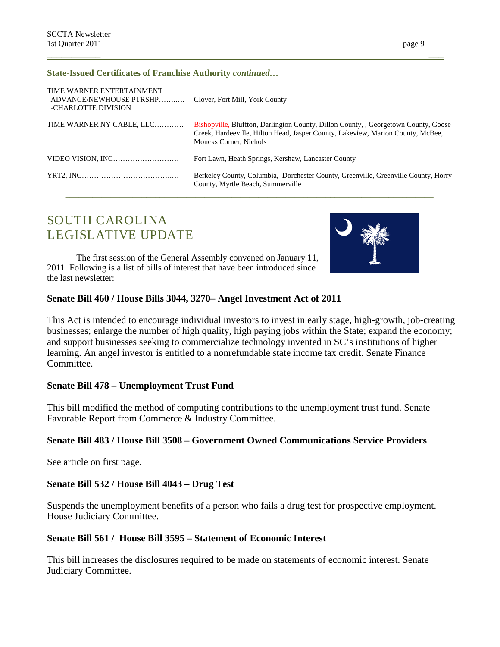#### **State-Issued Certificates of Franchise Authority** *continued…*

| TIME WARNER ENTERTAINMENT<br>ADVANCE/NEWHOUSE PTRSHP Clover, Fort Mill, York County<br>-CHARLOTTE DIVISION |                                                                                                                                                                                                |
|------------------------------------------------------------------------------------------------------------|------------------------------------------------------------------------------------------------------------------------------------------------------------------------------------------------|
| TIME WARNER NY CABLE, LLC                                                                                  | Bishopville, Bluffton, Darlington County, Dillon County, Georgetown County, Goose<br>Creek, Hardeeville, Hilton Head, Jasper County, Lakeview, Marion County, McBee,<br>Moncks Corner, Nichols |
| VIDEO VISION. INC                                                                                          | Fort Lawn, Heath Springs, Kershaw, Lancaster County                                                                                                                                            |
|                                                                                                            | Berkeley County, Columbia, Dorchester County, Greenville, Greenville County, Horry<br>County, Myrtle Beach, Summerville                                                                        |

## SOUTH CAROLINA LEGISLATIVE UPDATE

The first session of the General Assembly convened on January 11, 2011. Following is a list of bills of interest that have been introduced since the last newsletter:



#### **Senate Bill 460 / House Bills 3044, 3270– Angel Investment Act of 2011**

This Act is intended to encourage individual investors to invest in early stage, high-growth, job-creating businesses; enlarge the number of high quality, high paying jobs within the State; expand the economy; and support businesses seeking to commercialize technology invented in SC's institutions of higher learning. An angel investor is entitled to a nonrefundable state income tax credit. Senate Finance Committee.

#### **Senate Bill 478 – Unemployment Trust Fund**

This bill modified the method of computing contributions to the unemployment trust fund. Senate Favorable Report from Commerce & Industry Committee.

#### **Senate Bill 483 / House Bill 3508 – Government Owned Communications Service Providers**

See article on first page.

#### **Senate Bill 532 / House Bill 4043 – Drug Test**

Suspends the unemployment benefits of a person who fails a drug test for prospective employment. House Judiciary Committee.

#### **Senate Bill 561 / House Bill 3595 – Statement of Economic Interest**

This bill increases the disclosures required to be made on statements of economic interest. Senate Judiciary Committee.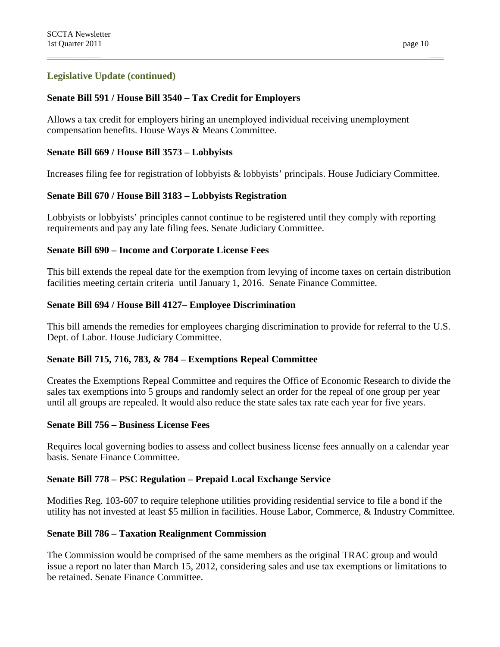### **Legislative Update (continued)**

### **Senate Bill 591 / House Bill 3540 – Tax Credit for Employers**

Allows a tax credit for employers hiring an unemployed individual receiving unemployment compensation benefits. House Ways & Means Committee.

#### **Senate Bill 669 / House Bill 3573 – Lobbyists**

Increases filing fee for registration of lobbyists & lobbyists' principals. House Judiciary Committee.

## **Senate Bill 670 / House Bill 3183 – Lobbyists Registration**

Lobbyists or lobbyists' principles cannot continue to be registered until they comply with reporting requirements and pay any late filing fees. Senate Judiciary Committee.

#### **Senate Bill 690 – Income and Corporate License Fees**

This bill extends the repeal date for the exemption from levying of income taxes on certain distribution facilities meeting certain criteria until January 1, 2016. Senate Finance Committee.

#### **Senate Bill 694 / House Bill 4127– Employee Discrimination**

This bill amends the remedies for employees charging discrimination to provide for referral to the U.S. Dept. of Labor. House Judiciary Committee.

#### **Senate Bill 715, 716, 783, & 784 – Exemptions Repeal Committee**

Creates the Exemptions Repeal Committee and requires the Office of Economic Research to divide the sales tax exemptions into 5 groups and randomly select an order for the repeal of one group per year until all groups are repealed. It would also reduce the state sales tax rate each year for five years.

#### **Senate Bill 756 – Business License Fees**

Requires local governing bodies to assess and collect business license fees annually on a calendar year basis. Senate Finance Committee.

#### **Senate Bill 778 – PSC Regulation – Prepaid Local Exchange Service**

Modifies Reg. 103-607 to require telephone utilities providing residential service to file a bond if the utility has not invested at least \$5 million in facilities. House Labor, Commerce, & Industry Committee.

#### **Senate Bill 786 – Taxation Realignment Commission**

The Commission would be comprised of the same members as the original TRAC group and would issue a report no later than March 15, 2012, considering sales and use tax exemptions or limitations to be retained. Senate Finance Committee.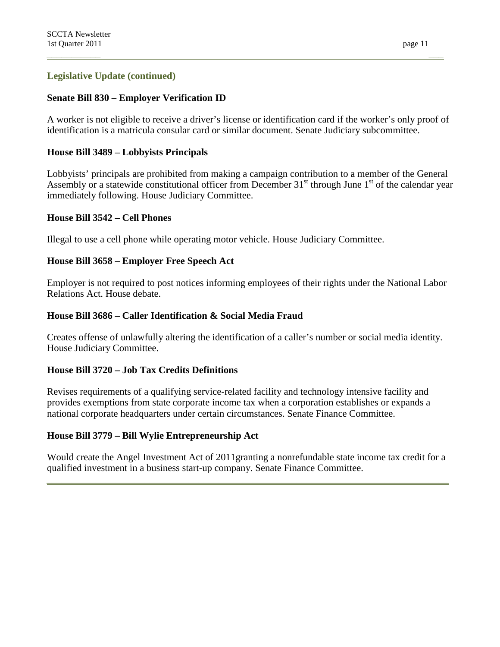## **Legislative Update (continued)**

#### **Senate Bill 830 – Employer Verification ID**

A worker is not eligible to receive a driver's license or identification card if the worker's only proof of identification is a matricula consular card or similar document. Senate Judiciary subcommittee.

### **House Bill 3489 – Lobbyists Principals**

Lobbyists' principals are prohibited from making a campaign contribution to a member of the General Assembly or a statewide constitutional officer from December  $31<sup>st</sup>$  through June  $1<sup>st</sup>$  of the calendar year immediately following. House Judiciary Committee.

#### **House Bill 3542 – Cell Phones**

Illegal to use a cell phone while operating motor vehicle. House Judiciary Committee.

#### **House Bill 3658 – Employer Free Speech Act**

Employer is not required to post notices informing employees of their rights under the National Labor Relations Act. House debate.

#### **House Bill 3686 – Caller Identification & Social Media Fraud**

Creates offense of unlawfully altering the identification of a caller's number or social media identity. House Judiciary Committee.

## **House Bill 3720 – Job Tax Credits Definitions**

Revises requirements of a qualifying service-related facility and technology intensive facility and provides exemptions from state corporate income tax when a corporation establishes or expands a national corporate headquarters under certain circumstances. Senate Finance Committee.

#### **House Bill 3779 – Bill Wylie Entrepreneurship Act**

Would create the Angel Investment Act of 2011granting a nonrefundable state income tax credit for a qualified investment in a business start-up company. Senate Finance Committee.